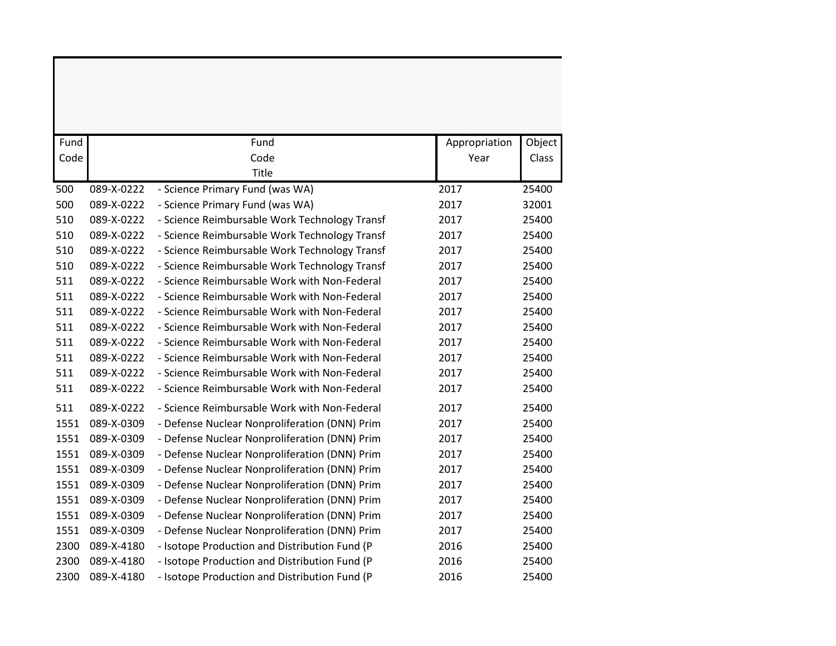| Fund |            | Fund                                          | Appropriation | Object |
|------|------------|-----------------------------------------------|---------------|--------|
| Code |            | Code                                          | Year          | Class  |
|      |            | Title                                         |               |        |
| 500  | 089-X-0222 | - Science Primary Fund (was WA)               | 2017          | 25400  |
| 500  | 089-X-0222 | - Science Primary Fund (was WA)               | 2017          | 32001  |
| 510  | 089-X-0222 | - Science Reimbursable Work Technology Transf | 2017          | 25400  |
| 510  | 089-X-0222 | - Science Reimbursable Work Technology Transf | 2017          | 25400  |
| 510  | 089-X-0222 | - Science Reimbursable Work Technology Transf | 2017          | 25400  |
| 510  | 089-X-0222 | - Science Reimbursable Work Technology Transf | 2017          | 25400  |
| 511  | 089-X-0222 | - Science Reimbursable Work with Non-Federal  | 2017          | 25400  |
| 511  | 089-X-0222 | - Science Reimbursable Work with Non-Federal  | 2017          | 25400  |
| 511  | 089-X-0222 | - Science Reimbursable Work with Non-Federal  | 2017          | 25400  |
| 511  | 089-X-0222 | - Science Reimbursable Work with Non-Federal  | 2017          | 25400  |
| 511  | 089-X-0222 | - Science Reimbursable Work with Non-Federal  | 2017          | 25400  |
| 511  | 089-X-0222 | - Science Reimbursable Work with Non-Federal  | 2017          | 25400  |
| 511  | 089-X-0222 | - Science Reimbursable Work with Non-Federal  | 2017          | 25400  |
| 511  | 089-X-0222 | - Science Reimbursable Work with Non-Federal  | 2017          | 25400  |
| 511  | 089-X-0222 | - Science Reimbursable Work with Non-Federal  | 2017          | 25400  |
| 1551 | 089-X-0309 | - Defense Nuclear Nonproliferation (DNN) Prim | 2017          | 25400  |
| 1551 | 089-X-0309 | - Defense Nuclear Nonproliferation (DNN) Prim | 2017          | 25400  |
| 1551 | 089-X-0309 | - Defense Nuclear Nonproliferation (DNN) Prim | 2017          | 25400  |
| 1551 | 089-X-0309 | - Defense Nuclear Nonproliferation (DNN) Prim | 2017          | 25400  |
| 1551 | 089-X-0309 | - Defense Nuclear Nonproliferation (DNN) Prim | 2017          | 25400  |
| 1551 | 089-X-0309 | - Defense Nuclear Nonproliferation (DNN) Prim | 2017          | 25400  |
| 1551 | 089-X-0309 | - Defense Nuclear Nonproliferation (DNN) Prim | 2017          | 25400  |
| 1551 | 089-X-0309 | - Defense Nuclear Nonproliferation (DNN) Prim | 2017          | 25400  |
| 2300 | 089-X-4180 | - Isotope Production and Distribution Fund (P | 2016          | 25400  |
| 2300 | 089-X-4180 | - Isotope Production and Distribution Fund (P | 2016          | 25400  |
| 2300 | 089-X-4180 | - Isotope Production and Distribution Fund (P | 2016          | 25400  |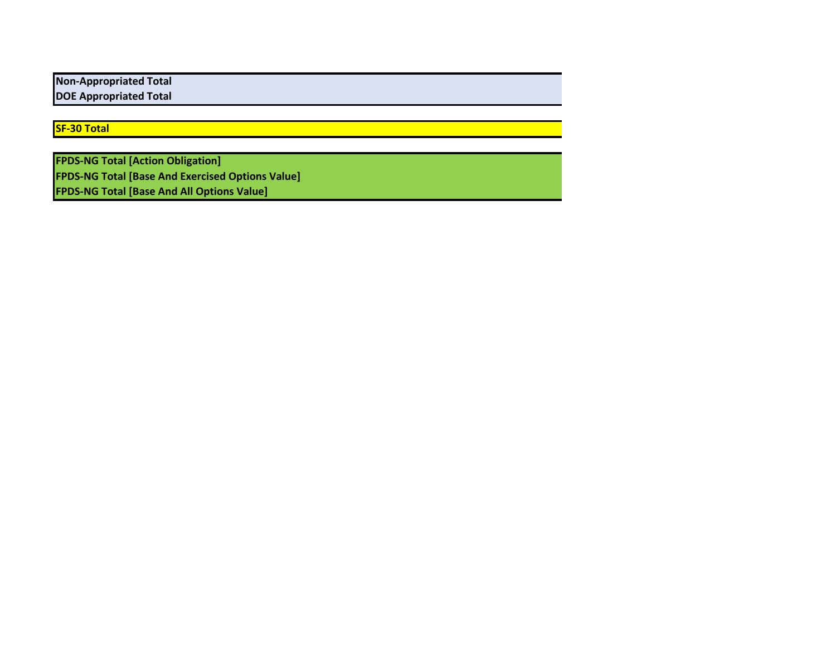**Non-Appropriated Total DOE Appropriated Total**

**SF-30 Total**

**FPDS-NG Total [Action Obligation] FPDS-NG Total [Base And Exercised Options Value] FPDS-NG Total [Base And All Options Value]**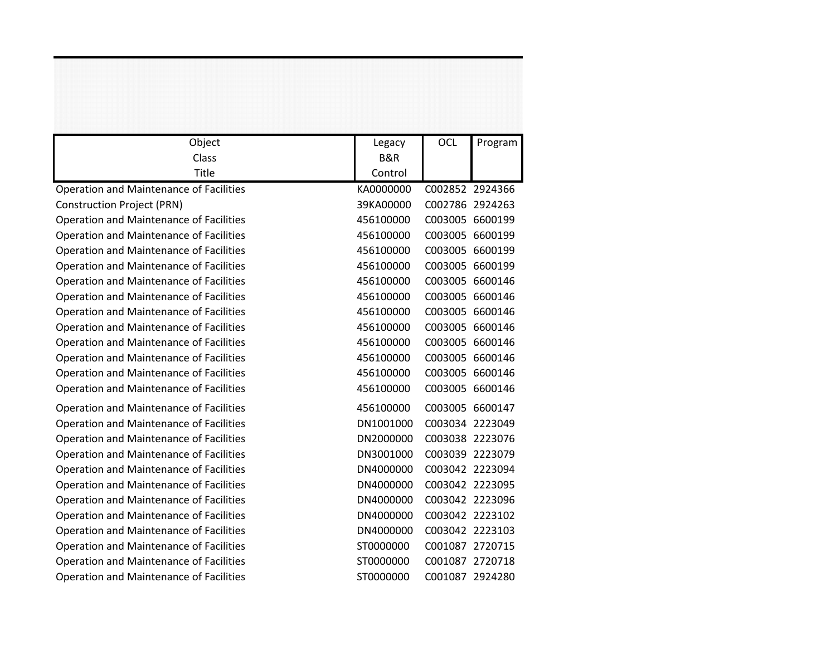| Object                                         | Legacy         | <b>OCL</b>      | Program         |
|------------------------------------------------|----------------|-----------------|-----------------|
| Class                                          | <b>B&amp;R</b> |                 |                 |
| Title                                          | Control        |                 |                 |
| <b>Operation and Maintenance of Facilities</b> | KA0000000      |                 | C002852 2924366 |
| <b>Construction Project (PRN)</b>              | 39KA00000      | C002786 2924263 |                 |
| Operation and Maintenance of Facilities        | 456100000      |                 | C003005 6600199 |
| Operation and Maintenance of Facilities        | 456100000      | C003005 6600199 |                 |
| <b>Operation and Maintenance of Facilities</b> | 456100000      | C003005 6600199 |                 |
| Operation and Maintenance of Facilities        | 456100000      | C003005 6600199 |                 |
| Operation and Maintenance of Facilities        | 456100000      | C003005 6600146 |                 |
| Operation and Maintenance of Facilities        | 456100000      |                 | C003005 6600146 |
| <b>Operation and Maintenance of Facilities</b> | 456100000      | C003005 6600146 |                 |
| Operation and Maintenance of Facilities        | 456100000      |                 | C003005 6600146 |
| Operation and Maintenance of Facilities        | 456100000      |                 | C003005 6600146 |
| Operation and Maintenance of Facilities        | 456100000      |                 | C003005 6600146 |
| <b>Operation and Maintenance of Facilities</b> | 456100000      |                 | C003005 6600146 |
| Operation and Maintenance of Facilities        | 456100000      |                 | C003005 6600146 |
| Operation and Maintenance of Facilities        | 456100000      | C003005 6600147 |                 |
| Operation and Maintenance of Facilities        | DN1001000      | C003034 2223049 |                 |
| Operation and Maintenance of Facilities        | DN2000000      | C003038 2223076 |                 |
| Operation and Maintenance of Facilities        | DN3001000      | C003039 2223079 |                 |
| Operation and Maintenance of Facilities        | DN4000000      | C003042 2223094 |                 |
| <b>Operation and Maintenance of Facilities</b> | DN4000000      | C003042 2223095 |                 |
| Operation and Maintenance of Facilities        | DN4000000      |                 | C003042 2223096 |
| Operation and Maintenance of Facilities        | DN4000000      |                 | C003042 2223102 |
| Operation and Maintenance of Facilities        | DN4000000      | C003042 2223103 |                 |
| Operation and Maintenance of Facilities        | ST0000000      | C001087 2720715 |                 |
| Operation and Maintenance of Facilities        | ST0000000      |                 | C001087 2720718 |
| <b>Operation and Maintenance of Facilities</b> | ST0000000      | C001087 2924280 |                 |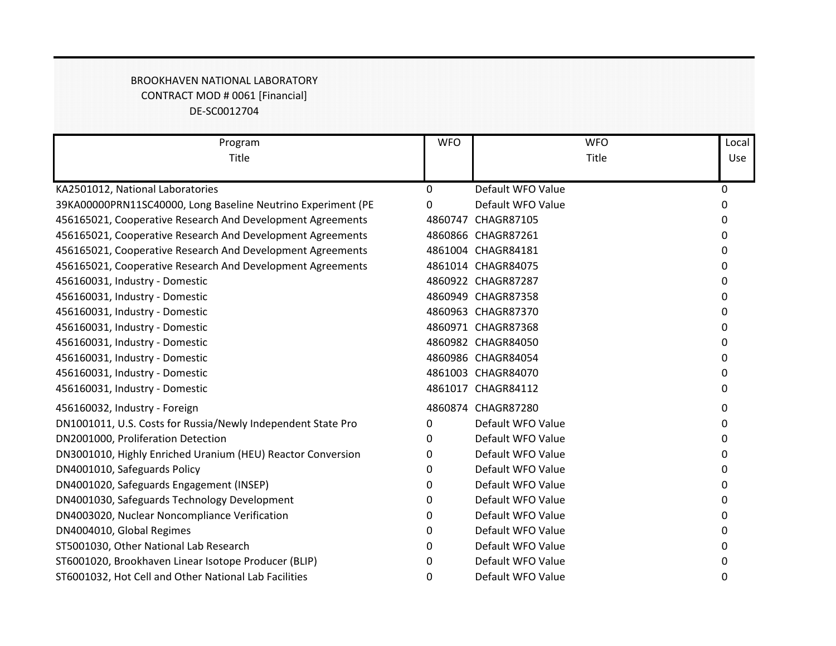## BROOKHAVEN NATIONAL LABORATORY CONTRACT MOD # 0061 [Financial] DE-SC0012704

| Program                                                      | <b>WFO</b> | <b>WFO</b>         | Local    |
|--------------------------------------------------------------|------------|--------------------|----------|
| Title                                                        |            | Title              | Use      |
|                                                              |            |                    |          |
| KA2501012, National Laboratories                             | 0          | Default WFO Value  | $\Omega$ |
| 39KA00000PRN11SC40000, Long Baseline Neutrino Experiment (PE | 0          | Default WFO Value  | 0        |
| 456165021, Cooperative Research And Development Agreements   |            | 4860747 CHAGR87105 | 0        |
| 456165021, Cooperative Research And Development Agreements   |            | 4860866 CHAGR87261 | 0        |
| 456165021, Cooperative Research And Development Agreements   |            | 4861004 CHAGR84181 | 0        |
| 456165021, Cooperative Research And Development Agreements   |            | 4861014 CHAGR84075 | 0        |
| 456160031, Industry - Domestic                               |            | 4860922 CHAGR87287 | 0        |
| 456160031, Industry - Domestic                               |            | 4860949 CHAGR87358 | 0        |
| 456160031, Industry - Domestic                               |            | 4860963 CHAGR87370 | 0        |
| 456160031, Industry - Domestic                               |            | 4860971 CHAGR87368 | 0        |
| 456160031, Industry - Domestic                               |            | 4860982 CHAGR84050 | 0        |
| 456160031, Industry - Domestic                               |            | 4860986 CHAGR84054 | 0        |
| 456160031, Industry - Domestic                               |            | 4861003 CHAGR84070 | 0        |
| 456160031, Industry - Domestic                               |            | 4861017 CHAGR84112 | 0        |
| 456160032, Industry - Foreign                                |            | 4860874 CHAGR87280 | 0        |
| DN1001011, U.S. Costs for Russia/Newly Independent State Pro | 0          | Default WFO Value  | 0        |
| DN2001000, Proliferation Detection                           | 0          | Default WFO Value  | 0        |
| DN3001010, Highly Enriched Uranium (HEU) Reactor Conversion  | 0          | Default WFO Value  | 0        |
| DN4001010, Safeguards Policy                                 | 0          | Default WFO Value  | 0        |
| DN4001020, Safeguards Engagement (INSEP)                     | 0          | Default WFO Value  | 0        |
| DN4001030, Safeguards Technology Development                 | 0          | Default WFO Value  | 0        |
| DN4003020, Nuclear Noncompliance Verification                | 0          | Default WFO Value  | 0        |
| DN4004010, Global Regimes                                    | 0          | Default WFO Value  | 0        |
| ST5001030, Other National Lab Research                       | 0          | Default WFO Value  | 0        |
| ST6001020, Brookhaven Linear Isotope Producer (BLIP)         | 0          | Default WFO Value  | 0        |
| ST6001032, Hot Cell and Other National Lab Facilities        | 0          | Default WFO Value  | 0        |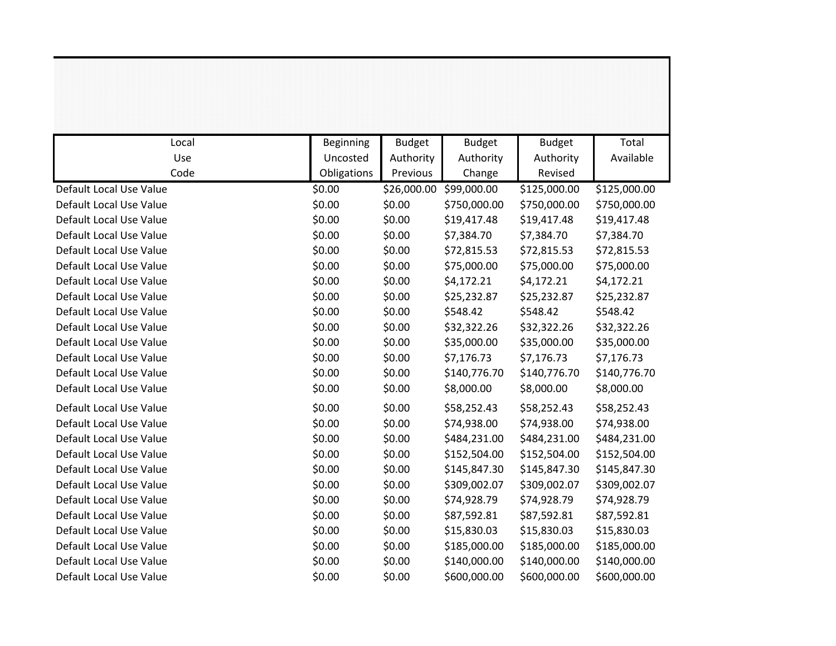| Local                   | <b>Beginning</b> | <b>Budget</b> | <b>Budget</b> | <b>Budget</b> | Total        |
|-------------------------|------------------|---------------|---------------|---------------|--------------|
| Use                     | Uncosted         | Authority     | Authority     | Authority     | Available    |
| Code                    | Obligations      | Previous      | Change        | Revised       |              |
| Default Local Use Value | \$0.00           | \$26,000.00   | \$99,000.00   | \$125,000.00  | \$125,000.00 |
| Default Local Use Value | \$0.00           | \$0.00        | \$750,000.00  | \$750,000.00  | \$750,000.00 |
| Default Local Use Value | \$0.00           | \$0.00        | \$19,417.48   | \$19,417.48   | \$19,417.48  |
| Default Local Use Value | \$0.00           | \$0.00        | \$7,384.70    | \$7,384.70    | \$7,384.70   |
| Default Local Use Value | \$0.00           | \$0.00        | \$72,815.53   | \$72,815.53   | \$72,815.53  |
| Default Local Use Value | \$0.00           | \$0.00        | \$75,000.00   | \$75,000.00   | \$75,000.00  |
| Default Local Use Value | \$0.00           | \$0.00        | \$4,172.21    | \$4,172.21    | \$4,172.21   |
| Default Local Use Value | \$0.00           | \$0.00        | \$25,232.87   | \$25,232.87   | \$25,232.87  |
| Default Local Use Value | \$0.00           | \$0.00        | \$548.42      | \$548.42      | \$548.42     |
| Default Local Use Value | \$0.00           | \$0.00        | \$32,322.26   | \$32,322.26   | \$32,322.26  |
| Default Local Use Value | \$0.00           | \$0.00        | \$35,000.00   | \$35,000.00   | \$35,000.00  |
| Default Local Use Value | \$0.00           | \$0.00        | \$7,176.73    | \$7,176.73    | \$7,176.73   |
| Default Local Use Value | \$0.00           | \$0.00        | \$140,776.70  | \$140,776.70  | \$140,776.70 |
| Default Local Use Value | \$0.00           | \$0.00        | \$8,000.00    | \$8,000.00    | \$8,000.00   |
| Default Local Use Value | \$0.00           | \$0.00        | \$58,252.43   | \$58,252.43   | \$58,252.43  |
| Default Local Use Value | \$0.00           | \$0.00        | \$74,938.00   | \$74,938.00   | \$74,938.00  |
| Default Local Use Value | \$0.00           | \$0.00        | \$484,231.00  | \$484,231.00  | \$484,231.00 |
| Default Local Use Value | \$0.00           | \$0.00        | \$152,504.00  | \$152,504.00  | \$152,504.00 |
| Default Local Use Value | \$0.00           | \$0.00        | \$145,847.30  | \$145,847.30  | \$145,847.30 |
| Default Local Use Value | \$0.00           | \$0.00        | \$309,002.07  | \$309,002.07  | \$309,002.07 |
| Default Local Use Value | \$0.00           | \$0.00        | \$74,928.79   | \$74,928.79   | \$74,928.79  |
| Default Local Use Value | \$0.00           | \$0.00        | \$87,592.81   | \$87,592.81   | \$87,592.81  |
| Default Local Use Value | \$0.00           | \$0.00        | \$15,830.03   | \$15,830.03   | \$15,830.03  |
| Default Local Use Value | \$0.00           | \$0.00        | \$185,000.00  | \$185,000.00  | \$185,000.00 |
| Default Local Use Value | \$0.00           | \$0.00        | \$140,000.00  | \$140,000.00  | \$140,000.00 |
| Default Local Use Value | \$0.00           | \$0.00        | \$600,000.00  | \$600,000.00  | \$600,000.00 |